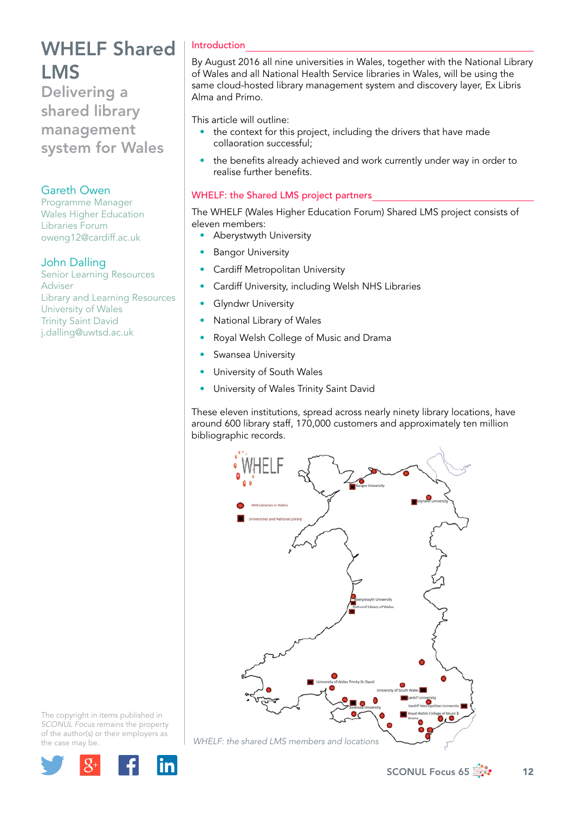Delivering a shared library management system for Wales

### Gareth Owen

Programme Manager Wales Higher Education Libraries Forum [oweng12@cardiff.ac.uk](mailto:oweng12@cardiff.ac.uk)

### John Dalling

Senior Learning Resources Adviser Library and Learning Resources University of Wales Trinity Saint David j.dalling@uwtsd.ac.uk

### Introduction

By August 2016 all nine universities in Wales, together with the National Library of Wales and all National Health Service libraries in Wales, will be using the same cloud-hosted library management system and discovery layer, Ex Libris Alma and Primo.

This article will outline:

- the context for this project, including the drivers that have made collaoration successful;
- the benefits already achieved and work currently under way in order to realise further benefits.

### WHELF: the Shared LMS project partners

The WHELF (Wales Higher Education Forum) Shared LMS project consists of eleven members:

- Aberystwyth University
- **Bangor University**
- **Cardiff Metropolitan University**
- Cardiff University, including Welsh NHS Libraries
- **Glyndwr University**
- National Library of Wales
- Royal Welsh College of Music and Drama
- Swansea University
- University of South Wales
- University of Wales Trinity Saint David

These eleven institutions, spread across nearly ninety library locations, have around 600 library staff, 170,000 customers and approximately ten million bibliographic records.



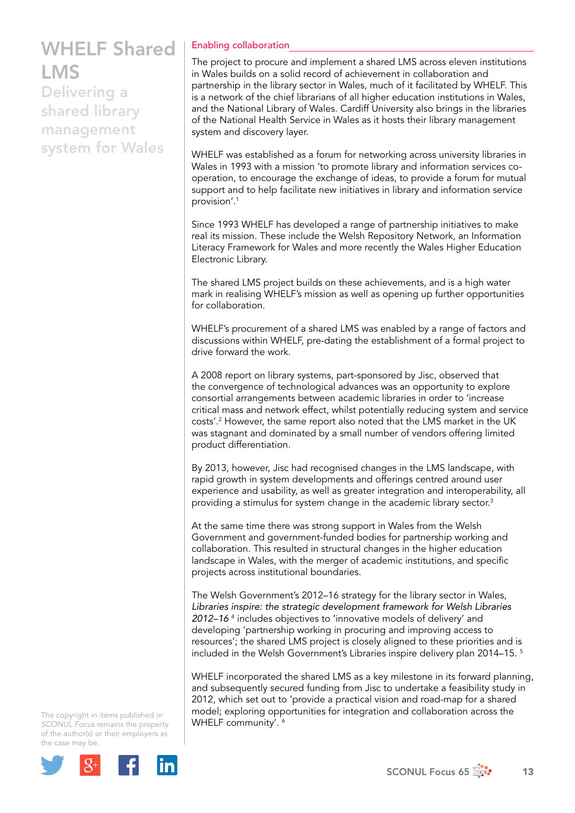Delivering a shared library management system for Wales

### Enabling collaboration

The project to procure and implement a shared LMS across eleven institutions in Wales builds on a solid record of achievement in collaboration and partnership in the library sector in Wales, much of it facilitated by WHELF. This is a network of the chief librarians of all higher education institutions in Wales, and the National Library of Wales. Cardiff University also brings in the libraries of the National Health Service in Wales as it hosts their library management system and discovery layer.

WHELF was established as a forum for networking across university libraries in Wales in 1993 with a mission 'to promote library and information services cooperation, to encourage the exchange of ideas, to provide a forum for mutual support and to help facilitate new initiatives in library and information service provision'.1

Since 1993 WHELF has developed a range of partnership initiatives to make real its mission. These include the Welsh Repository Network, an Information Literacy Framework for Wales and more recently the Wales Higher Education Electronic Library.

The shared LMS project builds on these achievements, and is a high water mark in realising WHELF's mission as well as opening up further opportunities for collaboration.

WHELF's procurement of a shared LMS was enabled by a range of factors and discussions within WHELF, pre-dating the establishment of a formal project to drive forward the work.

A 2008 report on library systems, part-sponsored by Jisc, observed that the convergence of technological advances was an opportunity to explore consortial arrangements between academic libraries in order to 'increase critical mass and network effect, whilst potentially reducing system and service costs'.2 However, the same report also noted that the LMS market in the UK was stagnant and dominated by a small number of vendors offering limited product differentiation.

By 2013, however, Jisc had recognised changes in the LMS landscape, with rapid growth in system developments and offerings centred around user experience and usability, as well as greater integration and interoperability, all providing a stimulus for system change in the academic library sector.<sup>3</sup>

At the same time there was strong support in Wales from the Welsh Government and government-funded bodies for partnership working and collaboration. This resulted in structural changes in the higher education landscape in Wales, with the merger of academic institutions, and specific projects across institutional boundaries.

The Welsh Government's 2012–16 strategy for the library sector in Wales, *Libraries inspire: the strategic development framework for Welsh Libraries 2012–16* <sup>4</sup> includes objectives to 'innovative models of delivery' and developing 'partnership working in procuring and improving access to resources'; the shared LMS project is closely aligned to these priorities and is included in the Welsh Government's Libraries inspire delivery plan 2014–15. 5

WHELF incorporated the shared LMS as a key milestone in its forward planning, and subsequently secured funding from Jisc to undertake a feasibility study in 2012, which set out to 'provide a practical vision and road-map for a shared model; exploring opportunities for integration and collaboration across the WHELF community'.<sup>6</sup>

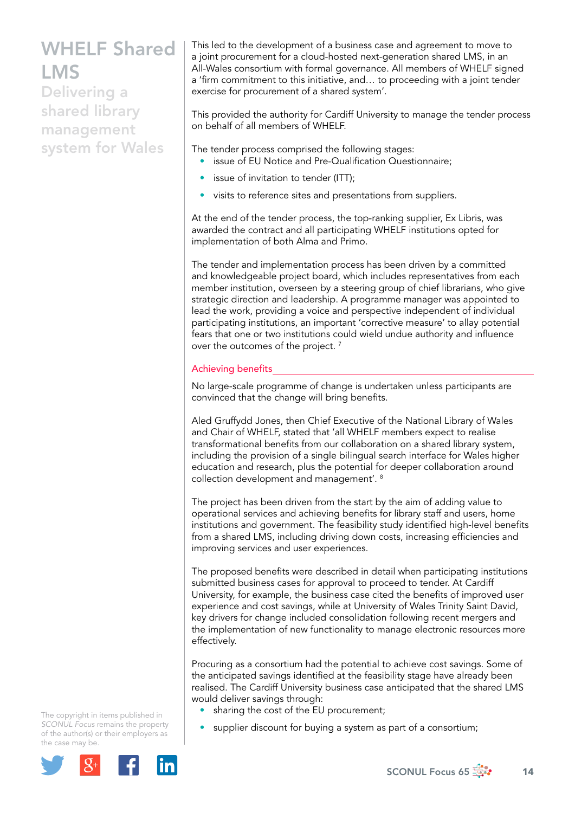Delivering a shared library management system for Wales This led to the development of a business case and agreement to move to a joint procurement for a cloud-hosted next-generation shared LMS, in an All-Wales consortium with formal governance. All members of WHELF signed a 'firm commitment to this initiative, and… to proceeding with a joint tender exercise for procurement of a shared system'.

This provided the authority for Cardiff University to manage the tender process on behalf of all members of WHELF.

The tender process comprised the following stages:

- issue of EU Notice and Pre-Qualification Questionnaire;
- issue of invitation to tender (ITT);
- visits to reference sites and presentations from suppliers.

At the end of the tender process, the top-ranking supplier, Ex Libris, was awarded the contract and all participating WHELF institutions opted for implementation of both Alma and Primo.

The tender and implementation process has been driven by a committed and knowledgeable project board, which includes representatives from each member institution, overseen by a steering group of chief librarians, who give strategic direction and leadership. A programme manager was appointed to lead the work, providing a voice and perspective independent of individual participating institutions, an important 'corrective measure' to allay potential fears that one or two institutions could wield undue authority and influence over the outcomes of the project.<sup>7</sup>

### Achieving benefits

No large-scale programme of change is undertaken unless participants are convinced that the change will bring benefits.

Aled Gruffydd Jones, then Chief Executive of the National Library of Wales and Chair of WHELF, stated that 'all WHELF members expect to realise transformational benefits from our collaboration on a shared library system, including the provision of a single bilingual search interface for Wales higher education and research, plus the potential for deeper collaboration around collection development and management'. 8

The project has been driven from the start by the aim of adding value to operational services and achieving benefits for library staff and users, home institutions and government. The feasibility study identified high-level benefits from a shared LMS, including driving down costs, increasing efficiencies and improving services and user experiences.

The proposed benefits were described in detail when participating institutions submitted business cases for approval to proceed to tender. At Cardiff University, for example, the business case cited the benefits of improved user experience and cost savings, while at University of Wales Trinity Saint David, key drivers for change included consolidation following recent mergers and the implementation of new functionality to manage electronic resources more effectively.

Procuring as a consortium had the potential to achieve cost savings. Some of the anticipated savings identified at the feasibility stage have already been realised. The Cardiff University business case anticipated that the shared LMS would deliver savings through:

- sharing the cost of the EU procurement;
- supplier discount for buying a system as part of a consortium;

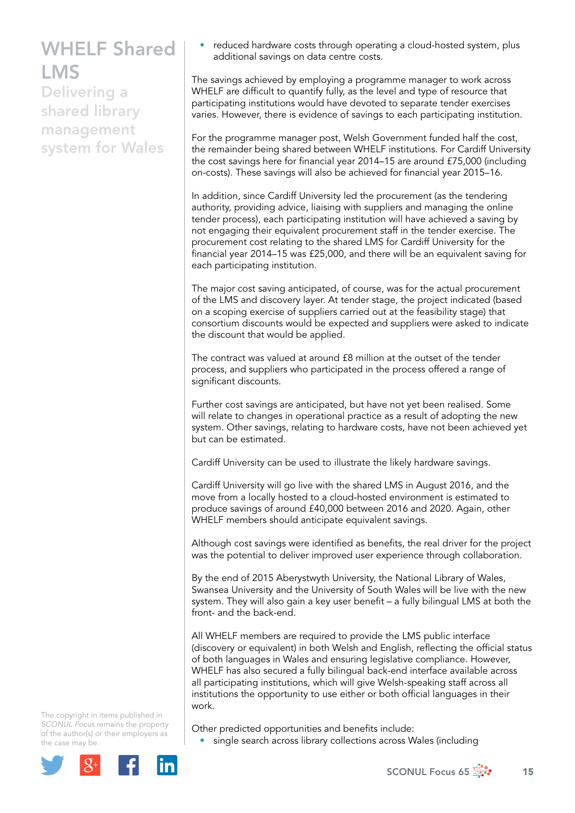Delivering a shared library management system for Wales • reduced hardware costs through operating a cloud-hosted system, plus additional savings on data centre costs.

The savings achieved by employing a programme manager to work across WHELF are difficult to quantify fully, as the level and type of resource that participating institutions would have devoted to separate tender exercises varies. However, there is evidence of savings to each participating institution.

For the programme manager post, Welsh Government funded half the cost, the remainder being shared between WHELF institutions. For Cardiff University the cost savings here for financial year 2014–15 are around £75,000 (including on-costs). These savings will also be achieved for financial year 2015–16.

In addition, since Cardiff University led the procurement (as the tendering authority, providing advice, liaising with suppliers and managing the online tender process), each participating institution will have achieved a saving by not engaging their equivalent procurement staff in the tender exercise. The procurement cost relating to the shared LMS for Cardiff University for the financial year 2014–15 was £25,000, and there will be an equivalent saving for each participating institution.

The major cost saving anticipated, of course, was for the actual procurement of the LMS and discovery layer. At tender stage, the project indicated (based on a scoping exercise of suppliers carried out at the feasibility stage) that consortium discounts would be expected and suppliers were asked to indicate the discount that would be applied.

The contract was valued at around £8 million at the outset of the tender process, and suppliers who participated in the process offered a range of significant discounts.

Further cost savings are anticipated, but have not yet been realised. Some will relate to changes in operational practice as a result of adopting the new system. Other savings, relating to hardware costs, have not been achieved yet but can be estimated.

Cardiff University can be used to illustrate the likely hardware savings.

Cardiff University will go live with the shared LMS in August 2016, and the move from a locally hosted to a cloud-hosted environment is estimated to produce savings of around £40,000 between 2016 and 2020. Again, other WHELF members should anticipate equivalent savings.

Although cost savings were identified as benefits, the real driver for the project was the potential to deliver improved user experience through collaboration.

By the end of 2015 Aberystwyth University, the National Library of Wales, Swansea University and the University of South Wales will be live with the new system. They will also gain a key user benefit – a fully bilingual LMS at both the front- and the back-end.

All WHELF members are required to provide the LMS public interface (discovery or equivalent) in both Welsh and English, reflecting the official status of both languages in Wales and ensuring legislative compliance. However, WHELF has also secured a fully bilingual back-end interface available across all participating institutions, which will give Welsh-speaking staff across all institutions the opportunity to use either or both official languages in their work.

The copyright in items published in *SCONUL Focus* remains the property of the author(s) or their employers as the case may be.



Other predicted opportunities and benefits include:

• single search across library collections across Wales (including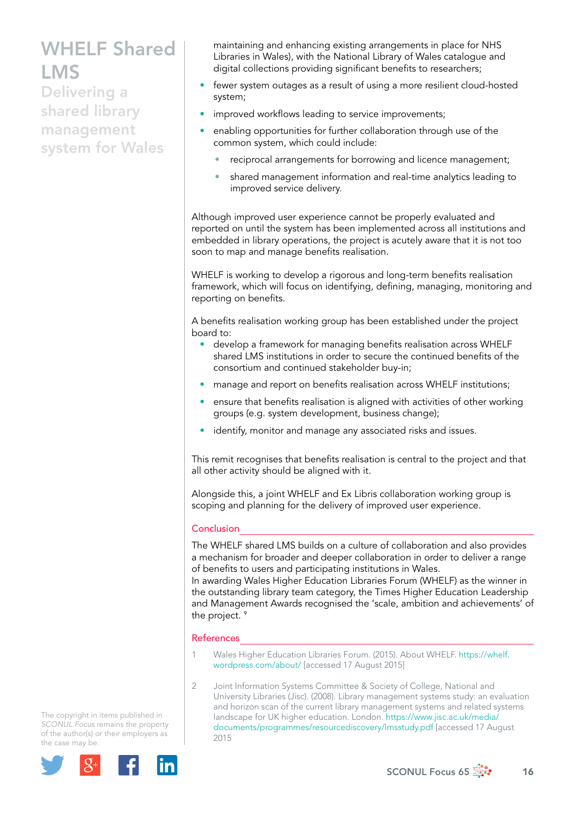Delivering a shared library management system for Wales maintaining and enhancing existing arrangements in place for NHS Libraries in Wales), with the National Library of Wales catalogue and digital collections providing significant benefits to researchers;

- fewer system outages as a result of using a more resilient cloud-hosted system;
- improved workflows leading to service improvements;
- enabling opportunities for further collaboration through use of the common system, which could include:
	- reciprocal arrangements for borrowing and licence management;
	- shared management information and real-time analytics leading to improved service delivery.

Although improved user experience cannot be properly evaluated and reported on until the system has been implemented across all institutions and embedded in library operations, the project is acutely aware that it is not too soon to map and manage benefits realisation.

WHELF is working to develop a rigorous and long-term benefits realisation framework, which will focus on identifying, defining, managing, monitoring and reporting on benefits.

A benefits realisation working group has been established under the project board to:

- develop a framework for managing benefits realisation across WHELF shared LMS institutions in order to secure the continued benefits of the consortium and continued stakeholder buy-in;
- manage and report on benefits realisation across WHELF institutions;
- ensure that benefits realisation is aligned with activities of other working groups (e.g. system development, business change);
- identify, monitor and manage any associated risks and issues.

This remit recognises that benefits realisation is central to the project and that all other activity should be aligned with it.

Alongside this, a joint WHELF and Ex Libris collaboration working group is scoping and planning for the delivery of improved user experience.

#### **Conclusion**

The WHELF shared LMS builds on a culture of collaboration and also provides a mechanism for broader and deeper collaboration in order to deliver a range of benefits to users and participating institutions in Wales.

In awarding Wales Higher Education Libraries Forum (WHELF) as the winner in the outstanding library team category, the Times Higher Education Leadership and Management Awards recognised the 'scale, ambition and achievements' of the project.<sup>9</sup>

#### References

1 Wales Higher Education Libraries Forum. (2015). About WHELF. [https://whelf.](https://whelf.wordpress.com/about/) [wordpress.com/about/](https://whelf.wordpress.com/about/) [accessed 17 August 2015]

2 Joint Information Systems Committee & Society of College, National and University Libraries (Jisc). (2008). Library management systems study: an evaluation and horizon scan of the current library management systems and related systems landscape for UK higher education. London. [https://www.jisc.ac.uk/media/](https://www.jisc.ac.uk/media/documents/programmes/resourcediscovery/lmsstudy.pdf) [documents/programmes/resourcediscovery/lmsstudy.pdf](https://www.jisc.ac.uk/media/documents/programmes/resourcediscovery/lmsstudy.pdf) [accessed 17 August 2015